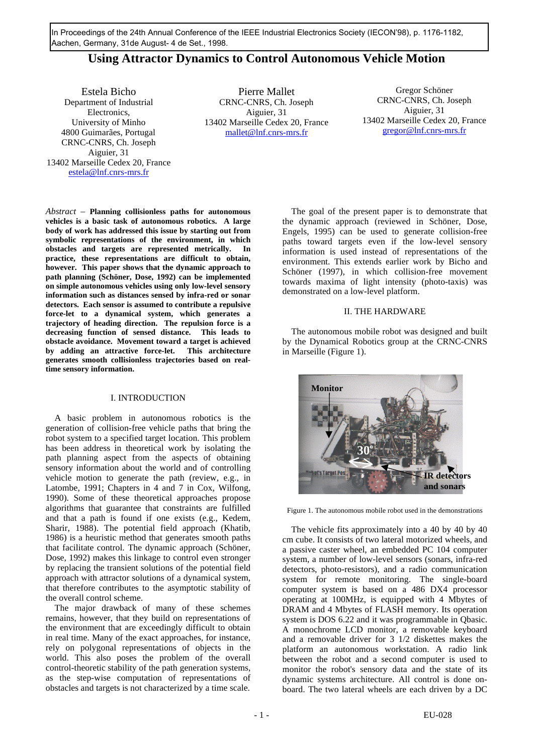In Proceedings of the 24th Annual Conference of the IEEE Industrial Electronics Society (IECON'98), p. 1176-1182, Aachen, Germany, 31de August- 4 de Set., 1998.

# **Using Attractor Dynamics to Control Autonomous Vehicle Motion**

Estela Bicho Department of Industrial Electronics, University of Minho 4800 Guimarães, Portugal CRNC-CNRS, Ch. Joseph Aiguier, 31 13402 Marseille Cedex 20, France estela@lnf.cnrs-mrs.fr

Pierre Mallet CRNC-CNRS, Ch. Joseph Aiguier, 31 13402 Marseille Cedex 20, France mallet@lnf.cnrs-mrs.fr

Gregor Schöner CRNC-CNRS, Ch. Joseph Aiguier, 31 13402 Marseille Cedex 20, France gregor@lnf.cnrs-mrs.fr

*Abstract* – **Planning collisionless paths for autonomous vehicles is a basic task of autonomous robotics. A large body of work has addressed this issue by starting out from symbolic representations of the environment, in which obstacles and targets are represented metrically. In practice, these representations are difficult to obtain, however. This paper shows that the dynamic approach to path planning (Schöner, Dose, 1992) can be implemented on simple autonomous vehicles using only low-level sensory information such as distances sensed by infra-red or sonar detectors. Each sensor is assumed to contribute a repulsive force-let to a dynamical system, which generates a trajectory of heading direction. The repulsion force is a decreasing function of sensed distance. This leads to obstacle avoidance. Movement toward a target is achieved by adding an attractive force-let. This architecture generates smooth collisionless trajectories based on realtime sensory information.**

# I. INTRODUCTION

A basic problem in autonomous robotics is the generation of collision-free vehicle paths that bring the robot system to a specified target location. This problem has been address in theoretical work by isolating the path planning aspect from the aspects of obtaining sensory information about the world and of controlling vehicle motion to generate the path (review, e.g., in Latombe, 1991; Chapters in 4 and 7 in Cox, Wilfong, 1990). Some of these theoretical approaches propose algorithms that guarantee that constraints are fulfilled and that a path is found if one exists (e.g., Kedem, Sharir, 1988). The potential field approach (Khatib, 1986) is a heuristic method that generates smooth paths that facilitate control. The dynamic approach (Schöner, Dose, 1992) makes this linkage to control even stronger by replacing the transient solutions of the potential field approach with attractor solutions of a dynamical system, that therefore contributes to the asymptotic stability of the overall control scheme.

The major drawback of many of these schemes remains, however, that they build on representations of the environment that are exceedingly difficult to obtain in real time. Many of the exact approaches, for instance, rely on polygonal representations of objects in the world. This also poses the problem of the overall control-theoretic stability of the path generation systems, as the step-wise computation of representations of obstacles and targets is not characterized by a time scale.

The goal of the present paper is to demonstrate that the dynamic approach (reviewed in Schöner, Dose, Engels, 1995) can be used to generate collision-free paths toward targets even if the low-level sensory information is used instead of representations of the environment. This extends earlier work by Bicho and Schöner (1997), in which collision-free movement towards maxima of light intensity (photo-taxis) was demonstrated on a low-level platform.

#### II. THE HARDWARE

The autonomous mobile robot was designed and built by the Dynamical Robotics group at the CRNC-CNRS in Marseille (Figure 1).



Figure 1. The autonomous mobile robot used in the demonstrations

The vehicle fits approximately into a 40 by 40 by 40 cm cube. It consists of two lateral motorized wheels, and a passive caster wheel, an embedded PC 104 computer system, a number of low-level sensors (sonars, infra-red detectors, photo-resistors), and a radio communication system for remote monitoring. The single-board computer system is based on a 486 DX4 processor operating at 100MHz, is equipped with 4 Mbytes of DRAM and 4 Mbytes of FLASH memory. Its operation system is DOS 6.22 and it was programmable in Qbasic. A monochrome LCD monitor, a removable keyboard and a removable driver for 3 1/2 diskettes makes the platform an autonomous workstation. A radio link between the robot and a second computer is used to monitor the robot's sensory data and the state of its dynamic systems architecture. All control is done onboard. The two lateral wheels are each driven by a DC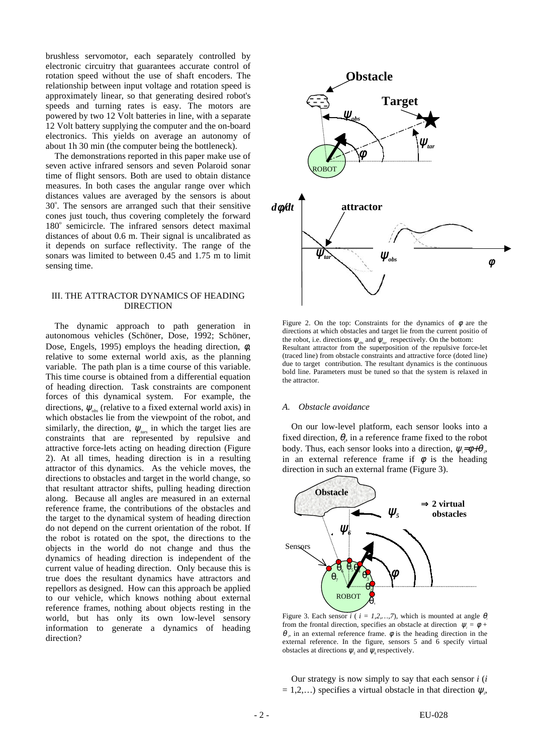brushless servomotor, each separately controlled by electronic circuitry that guarantees accurate control of rotation speed without the use of shaft encoders. The relationship between input voltage and rotation speed is approximately linear, so that generating desired robot's speeds and turning rates is easy. The motors are powered by two 12 Volt batteries in line, with a separate 12 Volt battery supplying the computer and the on-board electronics. This yields on average an autonomy of about 1h 30 min (the computer being the bottleneck).

The demonstrations reported in this paper make use of seven active infrared sensors and seven Polaroid sonar time of flight sensors. Both are used to obtain distance measures. In both cases the angular range over which distances values are averaged by the sensors is about 30°. The sensors are arranged such that their sensitive cones just touch, thus covering completely the forward 180° semicircle. The infrared sensors detect maximal distances of about 0.6 m. Their signal is uncalibrated as it depends on surface reflectivity. The range of the sonars was limited to between 0.45 and 1.75 m to limit sensing time.

# III. THE ATTRACTOR DYNAMICS OF HEADING **DIRECTION**

The dynamic approach to path generation in autonomous vehicles (Schöner, Dose, 1992; Schöner, Dose, Engels, 1995) employs the heading direction,  $\phi$ , relative to some external world axis, as the planning variable. The path plan is a time course of this variable. This time course is obtained from a differential equation of heading direction. Task constraints are component forces of this dynamical system. For example, the directions,  $\psi_{obs}$  (relative to a fixed external world axis) in which obstacles lie from the viewpoint of the robot, and similarly, the direction,  $\psi_{\text{tars}}$  in which the target lies are constraints that are represented by repulsive and attractive force-lets acting on heading direction (Figure 2). At all times, heading direction is in a resulting attractor of this dynamics. As the vehicle moves, the directions to obstacles and target in the world change, so that resultant attractor shifts, pulling heading direction along. Because all angles are measured in an external reference frame, the contributions of the obstacles and the target to the dynamical system of heading direction do not depend on the current orientation of the robot. If the robot is rotated on the spot, the directions to the objects in the world do not change and thus the dynamics of heading direction is independent of the current value of heading direction. Only because this is true does the resultant dynamics have attractors and repellors as designed. How can this approach be applied to our vehicle, which knows nothing about external reference frames, nothing about objects resting in the world, but has only its own low-level sensory information to generate a dynamics of heading direction?



Figure 2. On the top: Constraints for the dynamics of  $\phi$  are the directions at which obstacles and target lie from the current positio of the robot, i.e. directions  $\psi_{obs}$  and  $\psi_{tar}$  respectively. On the bottom: Resultant attractor from the superposition of the repulsive force-let (traced line) from obstacle constraints and attractive force (doted line) due to target contribution. The resultant dynamics is the continuous bold line. Parameters must be tuned so that the system is relaxed in the attractor.

## *A. Obstacle avoidance*

On our low-level platform, each sensor looks into a fixed direction,  $\theta$ <sub>i</sub>, in a reference frame fixed to the robot body. Thus, each sensor looks into a direction, ψ*<sup>i</sup>* =φ+θ *i*, in an external reference frame if  $\phi$  is the heading direction in such an external frame (Figure 3).



Figure 3. Each sensor  $i$  (  $i = 1, 2, ..., 7$ ), which is mounted at angle  $\theta_i$ from the frontal direction, specifies an obstacle at direction  $\psi_i = \phi + \psi_i$  $\theta$ , in an external reference frame.  $\phi$  is the heading direction in the external reference. In the figure, sensors 5 and 6 specify virtual obstacles at directions  $\psi$ <sub>5</sub> and  $\psi$ <sub>6</sub> respectively.

Our strategy is now simply to say that each sensor *i* (*i*  $= 1, 2, \ldots$ ) specifies a virtual obstacle in that direction  $\psi_i$ ,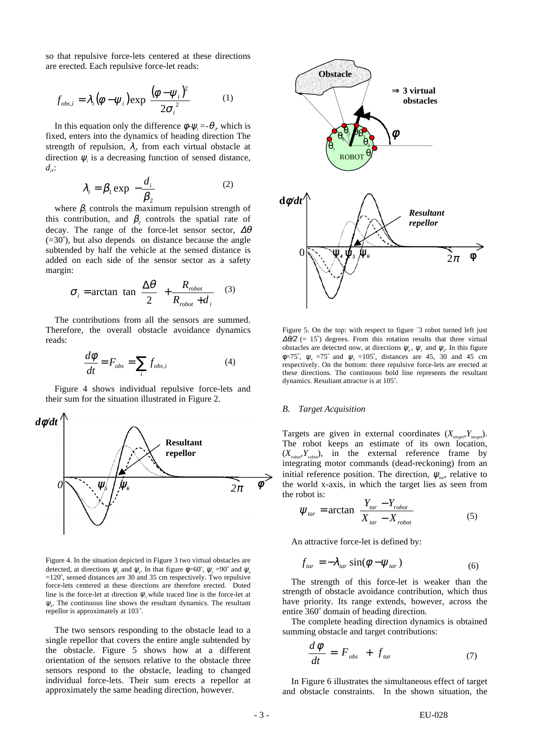so that repulsive force-lets centered at these directions are erected. Each repulsive force-let reads:

$$
f_{obs,i} = \lambda_i (\phi - \psi_i) \exp\left[\frac{(\phi - \psi_i)^2}{2\sigma_i^2}\right]
$$
 (1)

In this equation only the difference  $\phi$ - $\psi$ *<sub>i</sub>* =- $\theta$ <sup>*<sub>i</sub>*, which is</sup> fixed, enters into the dynamics of heading direction The strength of repulsion,  $\lambda_i$ , from each virtual obstacle at direction  $\psi$ <sub>i</sub> is a decreasing function of sensed distance,  $d_{\scriptscriptstyle \rho}$ :

$$
\lambda_i = \beta_1 \exp\left[-\frac{d_i}{\beta_2}\right]
$$
 (2)

where  $\beta$ , controls the maximum repulsion strength of this contribution, and  $\beta_2$  controls the spatial rate of decay. The range of the force-let sensor sector,  $\Delta\theta$  $(=30^{\circ})$ , but also depends on distance because the angle subtended by half the vehicle at the sensed distance is added on each side of the sensor sector as a safety margin:

$$
\sigma_i = \arctan\left[\tan\left(\frac{\Delta\theta}{2}\right) + \frac{R_{robot}}{R_{robot} + d_i}\right] \tag{3}
$$

The contributions from all the sensors are summed. Therefore, the overall obstacle avoidance dynamics reads:

$$
\frac{d\phi}{dt} = F_{obs} = \sum_{i} f_{obs,i} \tag{4}
$$

Figure 4 shows individual repulsive force-lets and their sum for the situation illustrated in Figure 2.



Figure 4. In the situation depicted in Figure 3 two virtual obstacles are detected, at directions  $\psi_s$  and  $\psi_s$ . In that figure  $\phi = 60^\circ$ ,  $\psi_s = 90^\circ$  and  $\psi_s$  $=120^{\circ}$ , sensed distances are 30 and 35 cm respectively. Two repulsive force-lets centered at these directions are therefore erected. Doted line is the force-let at direction  $\psi$ <sub>*s*</sub> while traced line is the force-let at  $\psi_{\delta}$ . The continuous line shows the resultant dynamics. The resultant repellor is approximately at 103°.

The two sensors responding to the obstacle lead to a single repellor that covers the entire angle subtended by the obstacle. Figure 5 shows how at a different orientation of the sensors relative to the obstacle three sensors respond to the obstacle, leading to changed individual force-lets. Their sum erects a repellor at approximately the same heading direction, however.



Figure 5. On the top: with respect to figure  $\hat{ }$  to a turned left just  $\Delta\theta/2$  (= 15°) degrees. From this rotation results that three virtual obstacles are detected now, at directions  $\psi_4$ ,  $\psi_5$  and  $\psi_6$ . In this figure  $\phi$ =75°,  $\psi$ <sub>4</sub> =75° and  $\psi$ <sub>5</sub> =105°, distances are 45, 30 and 45 cm respectively. On the bottom: three repulsive force-lets are erected at these directions. The continuous bold line represents the resultant dynamics. Resultant attractor is at 105°.

# *B. Target Acquisition*

Targets are given in external coordinates  $(X_{\text{target}}, Y_{\text{target}})$ . The robot keeps an estimate of its own location,  $(X_{\text{robot}}Y_{\text{robot}})$ , in the external reference frame by integrating motor commands (dead-reckoning) from an initial reference position. The direction,  $\psi_{\mu\nu}$ , relative to the world x-axis, in which the target lies as seen from the robot is:  $\overline{\phantom{a}}$ 

$$
\Psi_{tar} = \arctan\left(\frac{Y_{tar} - Y_{robot}}{X_{tar} - X_{robot}}\right)
$$
\n(5)

An attractive force-let is defined by:

$$
f_{tar} = -\lambda_{tar} \sin(\phi - \psi_{tar})
$$
 (6)

The strength of this force-let is weaker than the strength of obstacle avoidance contribution, which thus have priority. Its range extends, however, across the entire 360° domain of heading direction.

The complete heading direction dynamics is obtained summing obstacle and target contributions:

$$
\frac{d\phi}{dt} = F_{obs} + f_{tar} \tag{7}
$$

In Figure 6 illustrates the simultaneous effect of target and obstacle constraints. In the shown situation, the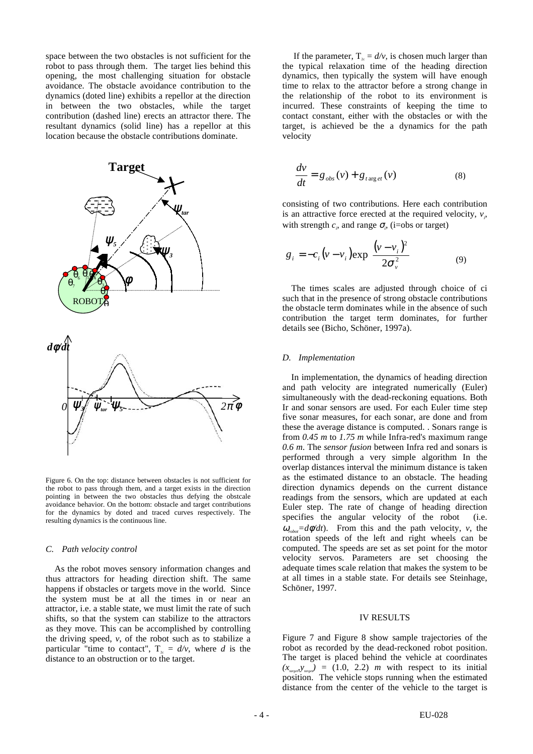space between the two obstacles is not sufficient for the robot to pass through them. The target lies behind this opening, the most challenging situation for obstacle avoidance. The obstacle avoidance contribution to the dynamics (doted line) exhibits a repellor at the direction in between the two obstacles, while the target contribution (dashed line) erects an attractor there. The resultant dynamics (solid line) has a repellor at this location because the obstacle contributions dominate.



Figure 6. On the top: distance between obstacles is not sufficient for the robot to pass through them, and a target exists in the direction pointing in between the two obstacles thus defying the obstcale avoidance behavior. On the bottom: obstacle and target contributions for the dynamics by doted and traced curves respectively. The resulting dynamics is the continuous line.

#### *C. Path velocity control*

As the robot moves sensory information changes and thus attractors for heading direction shift. The same happens if obstacles or targets move in the world. Since the system must be at all the times in or near an attractor, i.e. a stable state, we must limit the rate of such shifts, so that the system can stabilize to the attractors as they move. This can be accomplished by controlling the driving speed,  $v$ , of the robot such as to stabilize a particular "time to contact",  $T_{2c} = d/v$ , where *d* is the distance to an obstruction or to the target.

If the parameter,  $T_{2c} = d/v$ , is chosen much larger than the typical relaxation time of the heading direction dynamics, then typically the system will have enough time to relax to the attractor before a strong change in the relationship of the robot to its environment is incurred. These constraints of keeping the time to contact constant, either with the obstacles or with the target, is achieved be the a dynamics for the path velocity

$$
\frac{dv}{dt} = g_{obs}(v) + g_{t \arg et}(v) \tag{8}
$$

consisting of two contributions. Here each contribution is an attractive force erected at the required velocity,  $v_i$ , with strength  $c_i$ , and range  $\sigma_i$ , (i=obs or target)

$$
g_i = -c_i \left(v - v_i\right) \exp\left[\frac{\left(v - v_i\right)^2}{2\sigma_v^2}\right] \tag{9}
$$

The times scales are adjusted through choice of ci such that in the presence of strong obstacle contributions the obstacle term dominates while in the absence of such contribution the target term dominates, for further details see (Bicho, Schöner, 1997a).

# *D. Implementation*

In implementation, the dynamics of heading direction and path velocity are integrated numerically (Euler) simultaneously with the dead-reckoning equations. Both Ir and sonar sensors are used. For each Euler time step five sonar measures, for each sonar, are done and from these the average distance is computed. . Sonars range is from *0.45 m* to *1.75 m* while Infra-red's maximum range *0.6 m*. The *sensor fusion* between Infra red and sonars is performed through a very simple algorithm In the overlap distances interval the minimum distance is taken as the estimated distance to an obstacle. The heading direction dynamics depends on the current distance readings from the sensors, which are updated at each Euler step. The rate of change of heading direction specifies the angular velocity of the robot (i.e.  $\omega_{\text{rel}} = d\phi/dt$ . From this and the path velocity, *v*, the rotation speeds of the left and right wheels can be computed. The speeds are set as set point for the motor velocity servos. Parameters are set choosing the adequate times scale relation that makes the system to be at all times in a stable state. For details see Steinhage, Schöner, 1997.

#### IV RESULTS

Figure 7 and Figure 8 show sample trajectories of the robot as recorded by the dead-reckoned robot position. The target is placed behind the vehicle at coordinates  $(x_{\text{target}}, y_{\text{target}}) = (1.0, 2.2)$  *m* with respect to its initial position. The vehicle stops running when the estimated distance from the center of the vehicle to the target is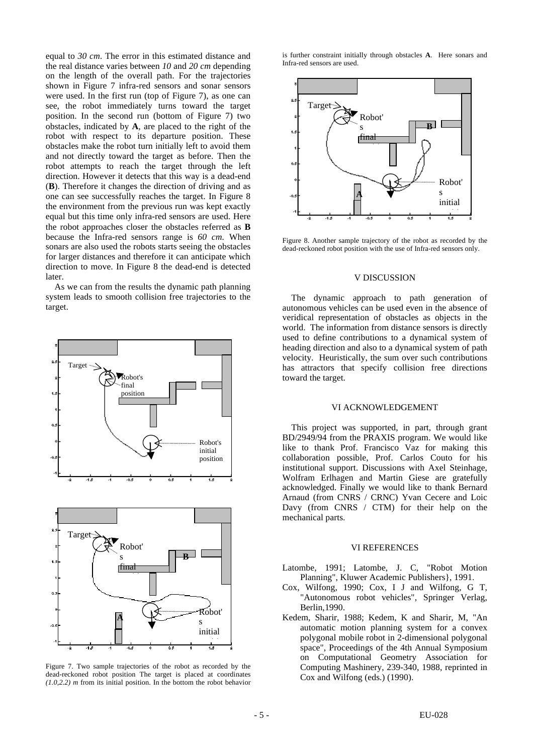equal to *30 cm*. The error in this estimated distance and the real distance varies between *10* and *20 cm* depending on the length of the overall path. For the trajectories shown in Figure 7 infra-red sensors and sonar sensors were used. In the first run (top of Figure 7), as one can see, the robot immediately turns toward the target position. In the second run (bottom of Figure 7) two obstacles, indicated by **A**, are placed to the right of the robot with respect to its departure position. These obstacles make the robot turn initially left to avoid them and not directly toward the target as before. Then the robot attempts to reach the target through the left direction. However it detects that this way is a dead-end (**B**). Therefore it changes the direction of driving and as one can see successfully reaches the target. In Figure 8 the environment from the previous run was kept exactly equal but this time only infra-red sensors are used. Here the robot approaches closer the obstacles referred as **B** because the Infra-red sensors range is *60 cm.* When sonars are also used the robots starts seeing the obstacles for larger distances and therefore it can anticipate which direction to move. In Figure 8 the dead-end is detected later.

As we can from the results the dynamic path planning system leads to smooth collision free trajectories to the target.





Figure 7. Two sample trajectories of the robot as recorded by the dead-reckoned robot position The target is placed at coordinates *(1.0,2.2) m* from its initial position. In the bottom the robot behavior

is further constraint initially through obstacles **A**. Here sonars and Infra-red sensors are used.



Figure 8. Another sample trajectory of the robot as recorded by the dead-reckoned robot position with the use of Infra-red sensors only.

## V DISCUSSION

The dynamic approach to path generation of autonomous vehicles can be used even in the absence of veridical representation of obstacles as objects in the world. The information from distance sensors is directly used to define contributions to a dynamical system of heading direction and also to a dynamical system of path velocity. Heuristically, the sum over such contributions has attractors that specify collision free directions toward the target.

# VI ACKNOWLEDGEMENT

This project was supported, in part, through grant BD/2949/94 from the PRAXIS program. We would like like to thank Prof. Francisco Vaz for making this collaboration possible, Prof. Carlos Couto for his institutional support. Discussions with Axel Steinhage, Wolfram Erlhagen and Martin Giese are gratefully acknowledged. Finally we would like to thank Bernard Arnaud (from CNRS / CRNC) Yvan Cecere and Loic Davy (from CNRS / CTM) for their help on the mechanical parts.

## VI REFERENCES

- Latombe, 1991; Latombe, J. C, "Robot Motion Planning", Kluwer Academic Publishers}, 1991.
- Cox, Wilfong, 1990; Cox, I J and Wilfong, G T, "Autonomous robot vehicles", Springer Verlag, Berlin,1990.
- Kedem, Sharir, 1988; Kedem, K and Sharir, M, "An automatic motion planning system for a convex polygonal mobile robot in 2-dimensional polygonal space", Proceedings of the 4th Annual Symposium on Computational Geometry Association for Computing Mashinery, 239-340, 1988, reprinted in Cox and Wilfong (eds.) (1990).